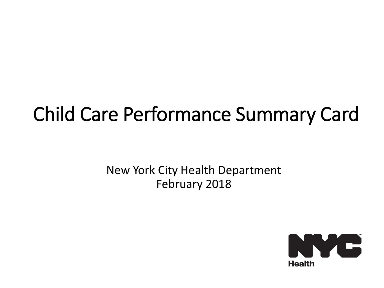## Child Care Performance Summary Card

New York City Health Department February 2018

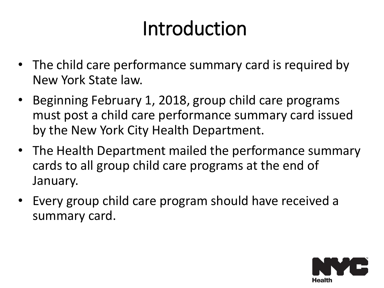# Introduction

- The child care performance summary card is required by New York State law.
- Beginning February 1, 2018, group child care programs must post a child care performance summary card issued by the New York City Health Department.
- The Health Department mailed the performance summary cards to all group child care programs at the end of January.
- Every group child care program should have received a summary card.

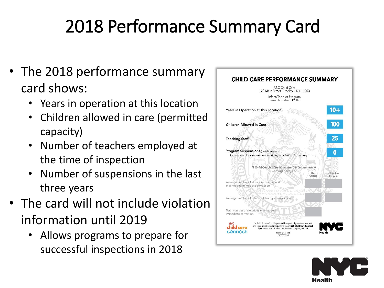## 2018 Performance Summary Card

- The 2018 performance summary card shows:
	- Years in operation at this location
	- Children allowed in care (permitted capacity)
	- Number of teachers employed at the time of inspection
	- Number of suspensions in the last three years
- The card will not include violation information until 2019
	- Allows programs to prepare for successful inspections in 2018



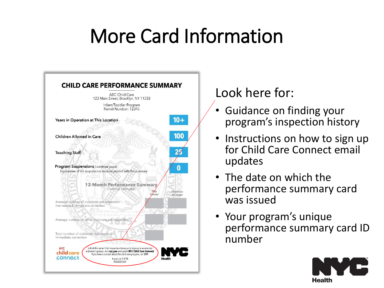# More Card Information



#### Look here for:

- Guidance on finding your program's inspection history
- Instructions on how to sign up for Child Care Connect email updates
- The date on which the performance summary card was issued
- Your program's unique performance summary card ID number

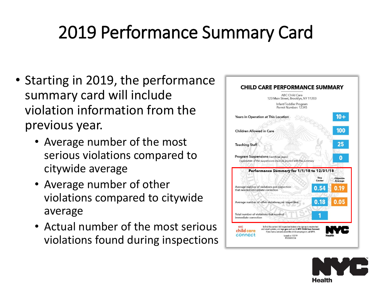#### 2019 Performance Summary Card

- Starting in 2019, the performance summary card will include violation information from the previous year.
	- Average number of the most serious violations compared to citywide average
	- Average number of other violations compared to citywide average
	- Actual number of the most serious violations found during inspections



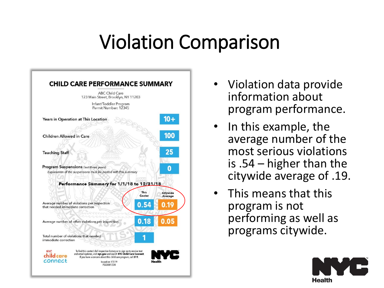## Violation Comparison



- Violation data provide information about program performance.
- In this example, the average number of the most serious violations is .54 – higher than the citywide average of .19.
- This means that this program is not performing as well as programs citywide.

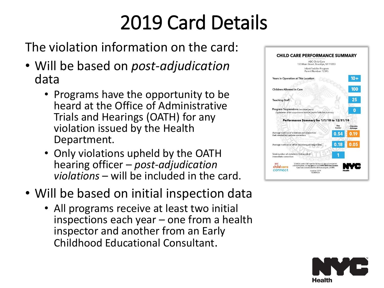# 2019 Card Details

The violation information on the card:

- Will be based on *post-adjudication* data
	- Programs have the opportunity to be heard at the Office of Administrative Trials and Hearings (OATH) for any violation issued by the Health Department.
	- Only violations upheld by the OATH hearing officer – *post-adjudication violations* – will be included in the card.
- Will be based on initial inspection data
	- All programs receive at least two initial inspections each year – one from a health inspector and another from an Early Childhood Educational Consultant.



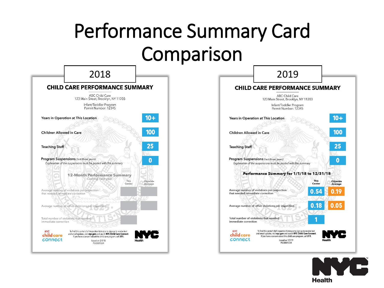# Performance Summary Card Comparison





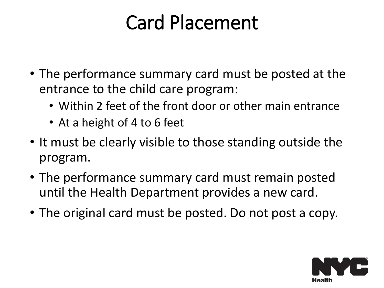# Card Placement

- The performance summary card must be posted at the entrance to the child care program:
	- Within 2 feet of the front door or other main entrance
	- At a height of 4 to 6 feet
- It must be clearly visible to those standing outside the program.
- The performance summary card must remain posted until the Health Department provides a new card.
- The original card must be posted. Do not post a copy.

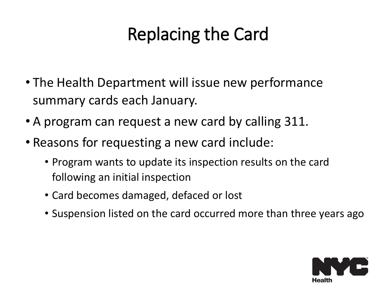#### Replacing the Card

- The Health Department will issue new performance summary cards each January.
- A program can request a new card by calling 311.
- Reasons for requesting a new card include:
	- Program wants to update its inspection results on the card following an initial inspection
	- Card becomes damaged, defaced or lost
	- Suspension listed on the card occurred more than three years ago

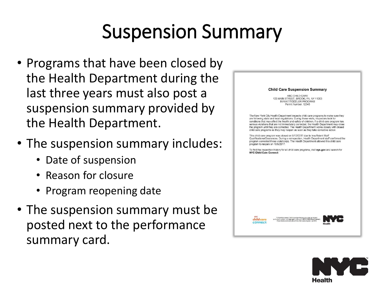# Suspension Summary

- Programs that have been closed by the Health Department during the last three years must also post a suspension summary provided by the Health Department.
- The suspension summary includes:
	- Date of suspension
	- Reason for closure
	- Program reopening date
- The suspension summary must be posted next to the performance summary card.



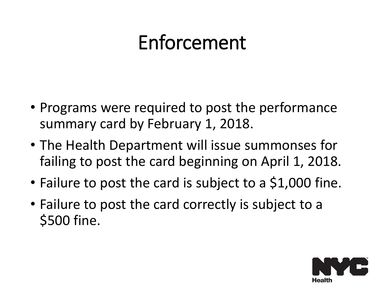## Enforcement

- Programs were required to post the performance summary card by February 1, 2018.
- The Health Department will issue summonses for failing to post the card beginning on April 1, 2018.
- Failure to post the card is subject to a \$1,000 fine.
- Failure to post the card correctly is subject to a \$500 fine.